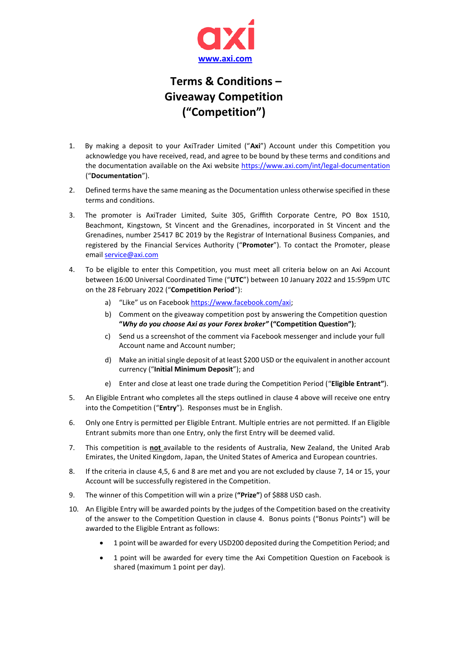

## **Terms & Conditions – Giveaway Competition ("Competition")**

- 1. By making a deposit to your AxiTrader Limited ("**Axi**") Account under this Competition you acknowledge you have received, read, and agree to be bound by these terms and conditions and the documentation available on the Axi website <https://www.axi.com/int/legal-documentation> ("**Documentation**").
- 2. Defined terms have the same meaning as the Documentation unless otherwise specified in these terms and conditions.
- 3. The promoter is AxiTrader Limited, Suite 305, Griffith Corporate Centre, PO Box 1510, Beachmont, Kingstown, St Vincent and the Grenadines, incorporated in St Vincent and the Grenadines, number 25417 BC 2019 by the Registrar of International Business Companies, and registered by the Financial Services Authority ("**Promoter**"). To contact the Promoter, please email [service@axi.com](mailto:service@axi.com)
- 4. To be eligible to enter this Competition, you must meet all criteria below on an Axi Account between 16:00 Universal Coordinated Time ("**UTC**") between 10 January 2022 and 15:59pm UTC on the 28 February 2022 ("**Competition Period**"):
	- a) "Like" us on Facebook [https://www.facebook.com/axi;](https://www.facebook.com/axi)
	- b) Comment on the giveaway competition post by answering the Competition question **"***Why do you choose Axi as your Forex broker"* **("Competition Question")**;
	- c) Send us a screenshot of the comment via Facebook messenger and include your full Account name and Account number;
	- d) Make an initial single deposit of at least \$200 USD or the equivalent in another account currency ("**Initial Minimum Deposit**"); and
	- e) Enter and close at least one trade during the Competition Period ("**Eligible Entrant"**).
- 5. An Eligible Entrant who completes all the steps outlined in clause 4 above will receive one entry into the Competition ("**Entry**"). Responses must be in English.
- 6. Only one Entry is permitted per Eligible Entrant. Multiple entries are not permitted. If an Eligible Entrant submits more than one Entry, only the first Entry will be deemed valid.
- 7. This competition is **not** available to the residents of Australia, New Zealand, the United Arab Emirates, the United Kingdom, Japan, the United States of America and European countries.
- 8. If the criteria in clause 4,5, 6 and 8 are met and you are not excluded by clause 7, 14 or 15, your Account will be successfully registered in the Competition.
- 9. The winner of this Competition will win a prize (**"Prize"**) of \$888 USD cash.
- 10. An Eligible Entry will be awarded points by the judges of the Competition based on the creativity of the answer to the Competition Question in clause 4. Bonus points ("Bonus Points") will be awarded to the Eligible Entrant as follows:
	- 1 point will be awarded for every USD200 deposited during the Competition Period; and
	- 1 point will be awarded for every time the Axi Competition Question on Facebook is shared (maximum 1 point per day).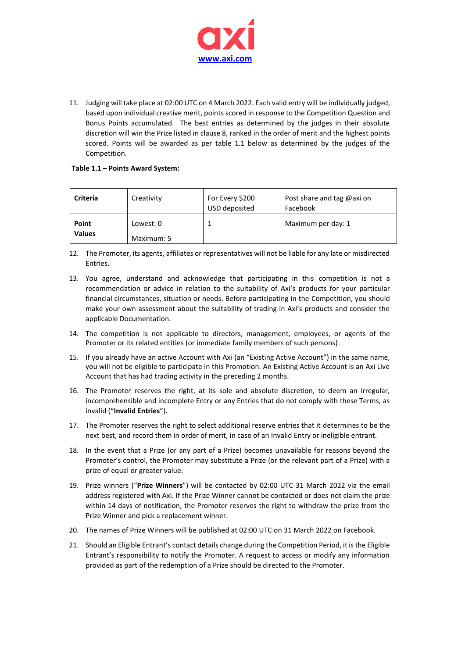

11. Judging will take place at 02:00 UTC on 4 March 2022. Each valid entry will be individually judged, based upon individual creative merit, points scored in response to the Competition Question and Bonus Points accumulated. The best entries as determined by the judges in their absolute discretion will win the Prize listed in clause 8, ranked in the order of merit and the highest points scored. Points will be awarded as per table 1.1 below as determined by the judges of the Competition.

## **Table 1.1 – Points Award System:**

| <b>Criteria</b>        | Creativity              | For Every \$200<br>USD deposited | Post share and tag @axi on<br>Facebook |
|------------------------|-------------------------|----------------------------------|----------------------------------------|
| Point<br><b>Values</b> | Lowest: 0<br>Maximum: 5 |                                  | Maximum per day: 1                     |

- 12. The Promoter, its agents, affiliates or representatives will not be liable for any late or misdirected Entries.
- 13. You agree, understand and acknowledge that participating in this competition is not a recommendation or advice in relation to the suitability of Axi's products for your particular financial circumstances, situation or needs. Before participating in the Competition, you should make your own assessment about the suitability of trading in Axi's products and consider the applicable Documentation.
- 14. The competition is not applicable to directors, management, employees, or agents of the Promoter or its related entities (or immediate family members of such persons).
- 15. If you already have an active Account with Axi (an "Existing Active Account") in the same name, you will not be eligible to participate in this Promotion. An Existing Active Account is an Axi Live Account that has had trading activity in the preceding 2 months.
- 16. The Promoter reserves the right, at its sole and absolute discretion, to deem an irregular, incomprehensible and incomplete Entry or any Entries that do not comply with these Terms, as invalid ("**Invalid Entries**").
- 17. The Promoter reserves the right to select additional reserve entries that it determines to be the next best, and record them in order of merit, in case of an Invalid Entry or ineligible entrant.
- 18. In the event that a Prize (or any part of a Prize) becomes unavailable for reasons beyond the Promoter's control, the Promoter may substitute a Prize (or the relevant part of a Prize) with a prize of equal or greater value.
- 19. Prize winners ("**Prize Winners**") will be contacted by 02:00 UTC 31 March 2022 via the email address registered with Axi. If the Prize Winner cannot be contacted or does not claim the prize within 14 days of notification, the Promoter reserves the right to withdraw the prize from the Prize Winner and pick a replacement winner.
- 20. The names of Prize Winners will be published at 02:00 UTC on 31 March 2022 on Facebook.
- 21. Should an Eligible Entrant's contact details change during the Competition Period, it is the Eligible Entrant's responsibility to notify the Promoter. A request to access or modify any information provided as part of the redemption of a Prize should be directed to the Promoter.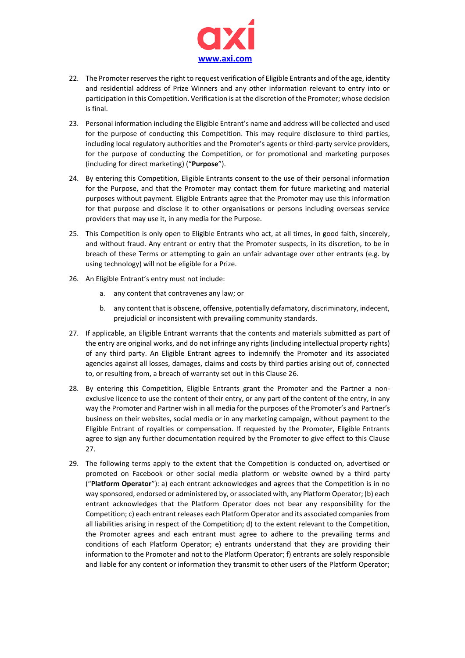

- 22. The Promoter reserves the right to request verification of Eligible Entrants and of the age, identity and residential address of Prize Winners and any other information relevant to entry into or participation in this Competition. Verification is at the discretion of the Promoter; whose decision is final.
- 23. Personal information including the Eligible Entrant's name and address will be collected and used for the purpose of conducting this Competition. This may require disclosure to third parties, including local regulatory authorities and the Promoter's agents or third-party service providers, for the purpose of conducting the Competition, or for promotional and marketing purposes (including for direct marketing) ("**Purpose**").
- 24. By entering this Competition, Eligible Entrants consent to the use of their personal information for the Purpose, and that the Promoter may contact them for future marketing and material purposes without payment. Eligible Entrants agree that the Promoter may use this information for that purpose and disclose it to other organisations or persons including overseas service providers that may use it, in any media for the Purpose.
- 25. This Competition is only open to Eligible Entrants who act, at all times, in good faith, sincerely, and without fraud. Any entrant or entry that the Promoter suspects, in its discretion, to be in breach of these Terms or attempting to gain an unfair advantage over other entrants (e.g. by using technology) will not be eligible for a Prize.
- 26. An Eligible Entrant's entry must not include:
	- a. any content that contravenes any law; or
	- b. any content that is obscene, offensive, potentially defamatory, discriminatory, indecent, prejudicial or inconsistent with prevailing community standards.
- 27. If applicable, an Eligible Entrant warrants that the contents and materials submitted as part of the entry are original works, and do not infringe any rights (including intellectual property rights) of any third party. An Eligible Entrant agrees to indemnify the Promoter and its associated agencies against all losses, damages, claims and costs by third parties arising out of, connected to, or resulting from, a breach of warranty set out in this Clause 26.
- 28. By entering this Competition, Eligible Entrants grant the Promoter and the Partner a nonexclusive licence to use the content of their entry, or any part of the content of the entry, in any way the Promoter and Partner wish in all media for the purposes of the Promoter's and Partner's business on their websites, social media or in any marketing campaign, without payment to the Eligible Entrant of royalties or compensation. If requested by the Promoter, Eligible Entrants agree to sign any further documentation required by the Promoter to give effect to this Clause 27.
- 29. The following terms apply to the extent that the Competition is conducted on, advertised or promoted on Facebook or other social media platform or website owned by a third party ("**Platform Operator**"): a) each entrant acknowledges and agrees that the Competition is in no way sponsored, endorsed or administered by, or associated with, any Platform Operator; (b) each entrant acknowledges that the Platform Operator does not bear any responsibility for the Competition; c) each entrant releases each Platform Operator and its associated companies from all liabilities arising in respect of the Competition; d) to the extent relevant to the Competition, the Promoter agrees and each entrant must agree to adhere to the prevailing terms and conditions of each Platform Operator; e) entrants understand that they are providing their information to the Promoter and not to the Platform Operator; f) entrants are solely responsible and liable for any content or information they transmit to other users of the Platform Operator;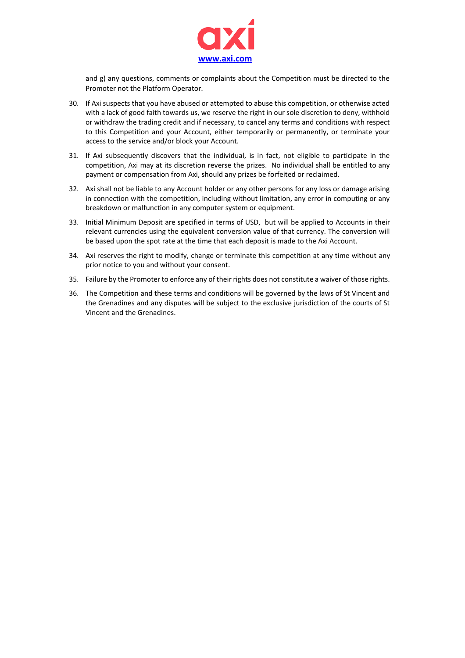

and g) any questions, comments or complaints about the Competition must be directed to the Promoter not the Platform Operator.

- 30. If Axi suspects that you have abused or attempted to abuse this competition, or otherwise acted with a lack of good faith towards us, we reserve the right in our sole discretion to deny, withhold or withdraw the trading credit and if necessary, to cancel any terms and conditions with respect to this Competition and your Account, either temporarily or permanently, or terminate your access to the service and/or block your Account.
- 31. If Axi subsequently discovers that the individual, is in fact, not eligible to participate in the competition, Axi may at its discretion reverse the prizes. No individual shall be entitled to any payment or compensation from Axi, should any prizes be forfeited or reclaimed.
- 32. Axi shall not be liable to any Account holder or any other persons for any loss or damage arising in connection with the competition, including without limitation, any error in computing or any breakdown or malfunction in any computer system or equipment.
- 33. Initial Minimum Deposit are specified in terms of USD, but will be applied to Accounts in their relevant currencies using the equivalent conversion value of that currency. The conversion will be based upon the spot rate at the time that each deposit is made to the Axi Account.
- 34. Axi reserves the right to modify, change or terminate this competition at any time without any prior notice to you and without your consent.
- 35. Failure by the Promoter to enforce any of their rights does not constitute a waiver of those rights.
- 36. The Competition and these terms and conditions will be governed by the laws of St Vincent and the Grenadines and any disputes will be subject to the exclusive jurisdiction of the courts of St Vincent and the Grenadines.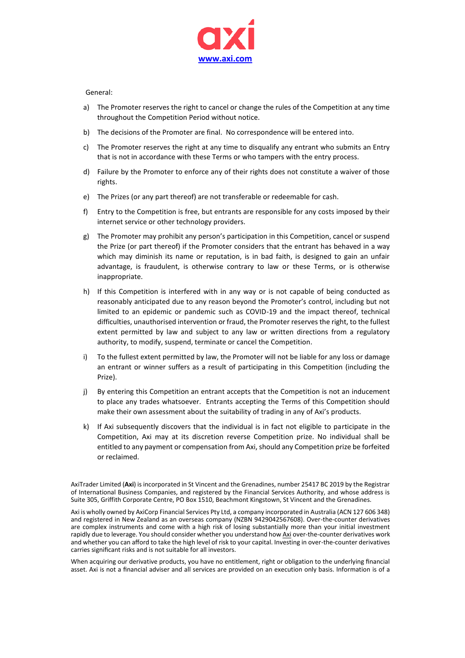

## General:

- a) The Promoter reserves the right to cancel or change the rules of the Competition at any time throughout the Competition Period without notice.
- b) The decisions of the Promoter are final. No correspondence will be entered into.
- c) The Promoter reserves the right at any time to disqualify any entrant who submits an Entry that is not in accordance with these Terms or who tampers with the entry process.
- d) Failure by the Promoter to enforce any of their rights does not constitute a waiver of those rights.
- e) The Prizes (or any part thereof) are not transferable or redeemable for cash.
- f) Entry to the Competition is free, but entrants are responsible for any costs imposed by their internet service or other technology providers.
- g) The Promoter may prohibit any person's participation in this Competition, cancel or suspend the Prize (or part thereof) if the Promoter considers that the entrant has behaved in a way which may diminish its name or reputation, is in bad faith, is designed to gain an unfair advantage, is fraudulent, is otherwise contrary to law or these Terms, or is otherwise inappropriate.
- h) If this Competition is interfered with in any way or is not capable of being conducted as reasonably anticipated due to any reason beyond the Promoter's control, including but not limited to an epidemic or pandemic such as COVID-19 and the impact thereof, technical difficulties, unauthorised intervention or fraud, the Promoter reserves the right, to the fullest extent permitted by law and subject to any law or written directions from a regulatory authority, to modify, suspend, terminate or cancel the Competition.
- i) To the fullest extent permitted by law, the Promoter will not be liable for any loss or damage an entrant or winner suffers as a result of participating in this Competition (including the Prize).
- j) By entering this Competition an entrant accepts that the Competition is not an inducement to place any trades whatsoever. Entrants accepting the Terms of this Competition should make their own assessment about the suitability of trading in any of Axi's products.
- k) If Axi subsequently discovers that the individual is in fact not eligible to participate in the Competition, Axi may at its discretion reverse Competition prize. No individual shall be entitled to any payment or compensation from Axi, should any Competition prize be forfeited or reclaimed.

AxiTrader Limited (**Axi**) is incorporated in St Vincent and the Grenadines, number 25417 BC 2019 by the Registrar of International Business Companies, and registered by the Financial Services Authority, and whose address is Suite 305, Griffith Corporate Centre, PO Box 1510, Beachmont Kingstown, St Vincent and the Grenadines.

Axi is wholly owned by AxiCorp Financial Services Pty Ltd, a company incorporated in Australia (ACN 127 606 348) and registered in New Zealand as an overseas company (NZBN 9429042567608). Over-the-counter derivatives are complex instruments and come with a high risk of losing substantially more than your initial investment rapidly due to leverage. You should consider whether you understand ho[w Axi](http://www.axi.com/) over-the-counter derivatives work and whether you can afford to take the high level of risk to your capital. Investing in over-the-counter derivatives carries significant risks and is not suitable for all investors.

When acquiring our derivative products, you have no entitlement, right or obligation to the underlying financial asset. Axi is not a financial adviser and all services are provided on an execution only basis. Information is of a